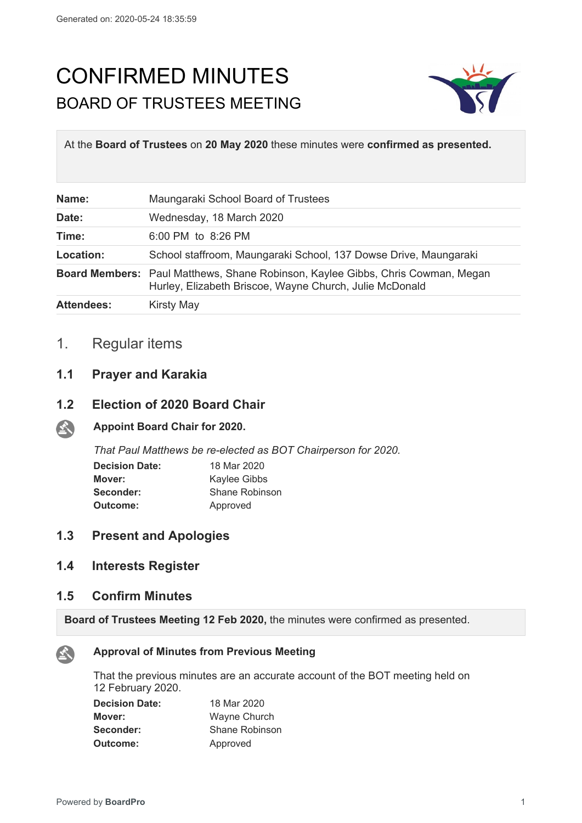# CONFIRMED MINUTES BOARD OF TRUSTEES MEETING



At the **Board of Trustees** on **20 May 2020** these minutes were **confirmed as presented.**

| Name:             | Maungaraki School Board of Trustees                                                                                                               |
|-------------------|---------------------------------------------------------------------------------------------------------------------------------------------------|
| Date:             | Wednesday, 18 March 2020                                                                                                                          |
| Time:             | 6:00 PM to 8:26 PM                                                                                                                                |
| Location:         | School staffroom, Maungaraki School, 137 Dowse Drive, Maungaraki                                                                                  |
|                   | <b>Board Members:</b> Paul Matthews, Shane Robinson, Kaylee Gibbs, Chris Cowman, Megan<br>Hurley, Elizabeth Briscoe, Wayne Church, Julie McDonald |
| <b>Attendees:</b> | <b>Kirsty May</b>                                                                                                                                 |

## 1. Regular items

#### **1.1 Prayer and Karakia**

#### **1.2 Election of 2020 Board Chair**

#### 全 **Appoint Board Chair for 2020.**

*That Paul Matthews be re-elected as BOT Chairperson for 2020.*

| <b>Decision Date:</b> | 18 Mar 2020    |
|-----------------------|----------------|
| Mover:                | Kaylee Gibbs   |
| Seconder:             | Shane Robinson |
| Outcome:              | Approved       |

#### **1.3 Present and Apologies**

#### **1.4 Interests Register**

#### **1.5 Confirm Minutes**

**Board of Trustees Meeting 12 Feb 2020,** the minutes were confirmed as presented.



#### **Approval of Minutes from Previous Meeting**

That the previous minutes are an accurate account of the BOT meeting held on 12 February 2020.

| <b>Decision Date:</b> | 18 Mar 2020    |
|-----------------------|----------------|
| Mover:                | Wayne Church   |
| Seconder:             | Shane Robinson |
| Outcome:              | Approved       |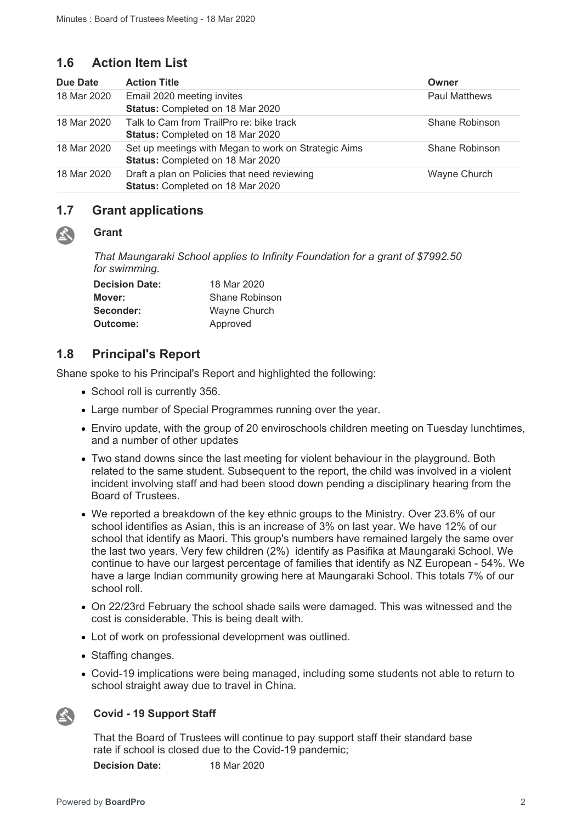### **1.6 Action Item List**

| Due Date    | <b>Action Title</b>                                                                      | Owner                |
|-------------|------------------------------------------------------------------------------------------|----------------------|
| 18 Mar 2020 | Email 2020 meeting invites<br>Status: Completed on 18 Mar 2020                           | <b>Paul Matthews</b> |
| 18 Mar 2020 | Talk to Cam from TrailPro re: bike track<br><b>Status: Completed on 18 Mar 2020</b>      | Shane Robinson       |
| 18 Mar 2020 | Set up meetings with Megan to work on Strategic Aims<br>Status: Completed on 18 Mar 2020 | Shane Robinson       |
| 18 Mar 2020 | Draft a plan on Policies that need reviewing<br>Status: Completed on 18 Mar 2020         | Wayne Church         |

#### **1.7 Grant applications**

#### **Grant**

公

*That Maungaraki School applies to Infinity Foundation for a grant of \$7992.50 for swimming.*

| <b>Decision Date:</b> | 18 Mar 2020    |
|-----------------------|----------------|
| Mover:                | Shane Robinson |
| Seconder:             | Wayne Church   |
| Outcome:              | Approved       |

### **1.8 Principal's Report**

Shane spoke to his Principal's Report and highlighted the following:

- School roll is currently 356.
- Large number of Special Programmes running over the year.
- Enviro update, with the group of 20 enviroschools children meeting on Tuesday lunchtimes, and a number of other updates
- Two stand downs since the last meeting for violent behaviour in the playground. Both related to the same student. Subsequent to the report, the child was involved in a violent incident involving staff and had been stood down pending a disciplinary hearing from the Board of Trustees.
- We reported a breakdown of the key ethnic groups to the Ministry. Over 23.6% of our school identifies as Asian, this is an increase of 3% on last year. We have 12% of our school that identify as Maori. This group's numbers have remained largely the same over the last two years. Very few children (2%) identify as Pasifika at Maungaraki School. We continue to have our largest percentage of families that identify as NZ European - 54%. We have a large Indian community growing here at Maungaraki School. This totals 7% of our school roll.
- On 22/23rd February the school shade sails were damaged. This was witnessed and the cost is considerable. This is being dealt with.
- Lot of work on professional development was outlined.
- Staffing changes.
- Covid-19 implications were being managed, including some students not able to return to school straight away due to travel in China.



#### **Covid - 19 Support Staff**

That the Board of Trustees will continue to pay support staff their standard base rate if school is closed due to the Covid-19 pandemic; **Decision Date:** 18 Mar 2020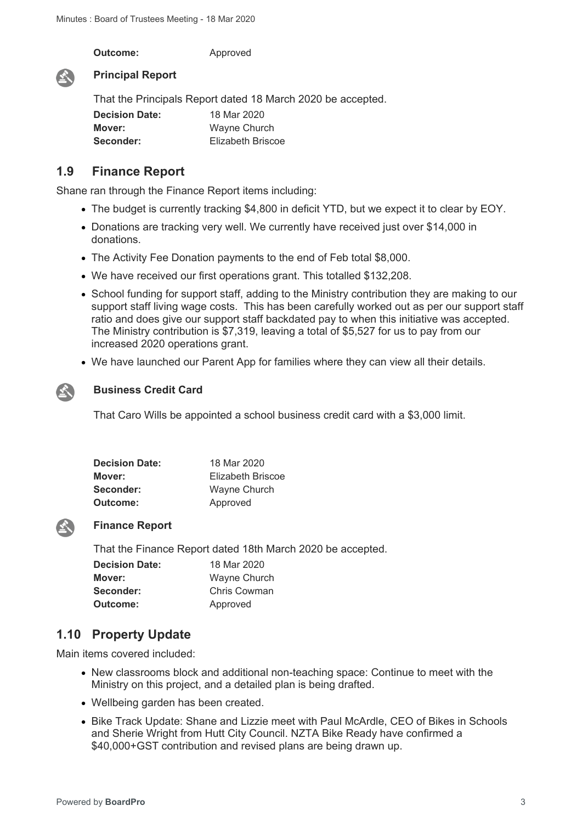**Outcome:** Approved



#### **Principal Report**

That the Principals Report dated 18 March 2020 be accepted. **Decision Date:** 18 Mar 2020 **Mover:** Wayne Church **Seconder:** Elizabeth Briscoe

#### **1.9 Finance Report**

Shane ran through the Finance Report items including:

- The budget is currently tracking \$4,800 in deficit YTD, but we expect it to clear by EOY.
- Donations are tracking very well. We currently have received just over \$14,000 in donations.
- The Activity Fee Donation payments to the end of Feb total \$8,000.
- We have received our first operations grant. This totalled \$132,208.
- School funding for support staff, adding to the Ministry contribution they are making to our support staff living wage costs. This has been carefully worked out as per our support staff ratio and does give our support staff backdated pay to when this initiative was accepted. The Ministry contribution is \$7,319, leaving a total of \$5,527 for us to pay from our increased 2020 operations grant.
- We have launched our Parent App for families where they can view all their details.



#### **Business Credit Card**

That Caro Wills be appointed a school business credit card with a \$3,000 limit.

| 18 Mar 2020       |
|-------------------|
| Elizabeth Briscoe |
| Wayne Church      |
| Approved          |
|                   |



#### **Finance Report**

That the Finance Report dated 18th March 2020 be accepted.

| <b>Decision Date:</b> | 18 Mar 2020  |
|-----------------------|--------------|
| Mover:                | Wayne Church |
| Seconder:             | Chris Cowman |
| Outcome:              | Approved     |

### **1.10 Property Update**

Main items covered included:

- New classrooms block and additional non-teaching space: Continue to meet with the Ministry on this project, and a detailed plan is being drafted.
- Wellbeing garden has been created.
- Bike Track Update: Shane and Lizzie meet with Paul McArdle, CEO of Bikes in Schools and Sherie Wright from Hutt City Council. NZTA Bike Ready have confirmed a \$40,000+GST contribution and revised plans are being drawn up.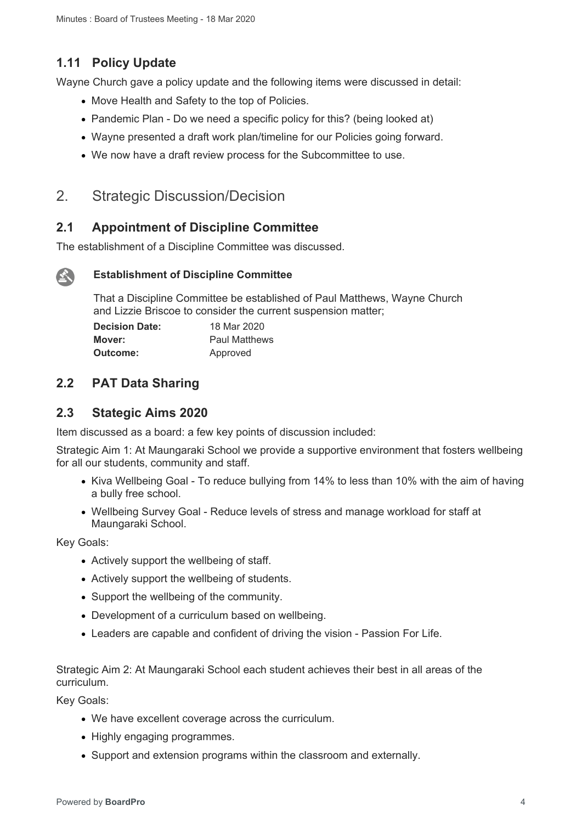### **1.11 Policy Update**

Wayne Church gave a policy update and the following items were discussed in detail:

- Move Health and Safety to the top of Policies.
- Pandemic Plan Do we need a specific policy for this? (being looked at)
- Wayne presented a draft work plan/timeline for our Policies going forward.
- We now have a draft review process for the Subcommittee to use.

### 2. Strategic Discussion/Decision

### **2.1 Appointment of Discipline Committee**

The establishment of a Discipline Committee was discussed.

### $\mathbf{A}$

#### **Establishment of Discipline Committee**

That a Discipline Committee be established of Paul Matthews, Wayne Church and Lizzie Briscoe to consider the current suspension matter;

| <b>Decision Date:</b> | 18 Mar 2020          |
|-----------------------|----------------------|
| Mover:                | <b>Paul Matthews</b> |
| Outcome:              | Approved             |

### **2.2 PAT Data Sharing**

### **2.3 Stategic Aims 2020**

Item discussed as a board: a few key points of discussion included:

Strategic Aim 1: At Maungaraki School we provide a supportive environment that fosters wellbeing for all our students, community and staff.

- Kiva Wellbeing Goal To reduce bullying from 14% to less than 10% with the aim of having a bully free school.
- Wellbeing Survey Goal Reduce levels of stress and manage workload for staff at Maungaraki School.

Key Goals:

- Actively support the wellbeing of staff.
- Actively support the wellbeing of students.
- Support the wellbeing of the community.
- Development of a curriculum based on wellbeing.
- Leaders are capable and confident of driving the vision Passion For Life.

Strategic Aim 2: At Maungaraki School each student achieves their best in all areas of the curriculum.

Key Goals:

- We have excellent coverage across the curriculum.
- Highly engaging programmes.
- Support and extension programs within the classroom and externally.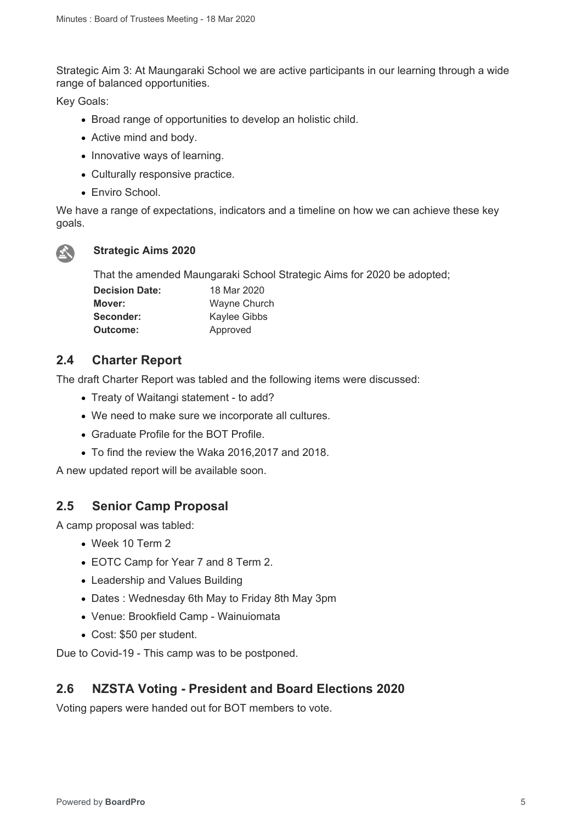Strategic Aim 3: At Maungaraki School we are active participants in our learning through a wide range of balanced opportunities.

Key Goals:

- Broad range of opportunities to develop an holistic child.
- Active mind and body.
- Innovative ways of learning.
- Culturally responsive practice.
- Enviro School.

We have a range of expectations, indicators and a timeline on how we can achieve these key goals.



#### **Strategic Aims 2020**

That the amended Maungaraki School Strategic Aims for 2020 be adopted;

| <b>Decision Date:</b> | 18 Mar 2020         |
|-----------------------|---------------------|
| Mover:                | <b>Wayne Church</b> |
| Seconder:             | Kaylee Gibbs        |
| Outcome:              | Approved            |

### **2.4 Charter Report**

The draft Charter Report was tabled and the following items were discussed:

- Treaty of Waitangi statement to add?
- We need to make sure we incorporate all cultures.
- Graduate Profile for the BOT Profile.
- To find the review the Waka 2016,2017 and 2018.

A new updated report will be available soon.

### **2.5 Senior Camp Proposal**

A camp proposal was tabled:

- Week 10 Term 2
- EOTC Camp for Year 7 and 8 Term 2.
- Leadership and Values Building
- Dates : Wednesday 6th May to Friday 8th May 3pm
- Venue: Brookfield Camp Wainuiomata
- Cost: \$50 per student.

Due to Covid-19 - This camp was to be postponed.

### **2.6 NZSTA Voting - President and Board Elections 2020**

Voting papers were handed out for BOT members to vote.